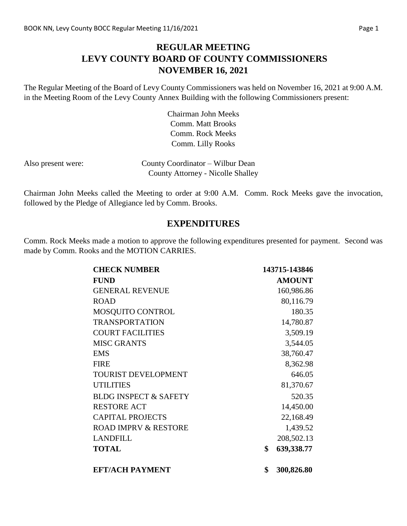## **REGULAR MEETING LEVY COUNTY BOARD OF COUNTY COMMISSIONERS NOVEMBER 16, 2021**

The Regular Meeting of the Board of Levy County Commissioners was held on November 16, 2021 at 9:00 A.M. in the Meeting Room of the Levy County Annex Building with the following Commissioners present:

> Chairman John Meeks Comm. Matt Brooks Comm. Rock Meeks Comm. Lilly Rooks

| Also present were: | County Coordinator – Wilbur Dean         |
|--------------------|------------------------------------------|
|                    | <b>County Attorney - Nicolle Shalley</b> |

Chairman John Meeks called the Meeting to order at 9:00 A.M. Comm. Rock Meeks gave the invocation, followed by the Pledge of Allegiance led by Comm. Brooks.

#### **EXPENDITURES**

Comm. Rock Meeks made a motion to approve the following expenditures presented for payment. Second was made by Comm. Rooks and the MOTION CARRIES.

| <b>CHECK NUMBER</b>              | 143715-143846    |
|----------------------------------|------------------|
| <b>FUND</b>                      | <b>AMOUNT</b>    |
| <b>GENERAL REVENUE</b>           | 160,986.86       |
| <b>ROAD</b>                      | 80,116.79        |
| MOSQUITO CONTROL                 | 180.35           |
| <b>TRANSPORTATION</b>            | 14,780.87        |
| <b>COURT FACILITIES</b>          | 3,509.19         |
| <b>MISC GRANTS</b>               | 3,544.05         |
| <b>EMS</b>                       | 38,760.47        |
| <b>FIRE</b>                      | 8,362.98         |
| <b>TOURIST DEVELOPMENT</b>       | 646.05           |
| <b>UTILITIES</b>                 | 81,370.67        |
| <b>BLDG INSPECT &amp; SAFETY</b> | 520.35           |
| <b>RESTORE ACT</b>               | 14,450.00        |
| <b>CAPITAL PROJECTS</b>          | 22,168.49        |
| <b>ROAD IMPRV &amp; RESTORE</b>  | 1,439.52         |
| <b>LANDFILL</b>                  | 208,502.13       |
| <b>TOTAL</b>                     | \$<br>639,338.77 |
| <b>EFT/ACH PAYMENT</b>           | \$<br>300,826.80 |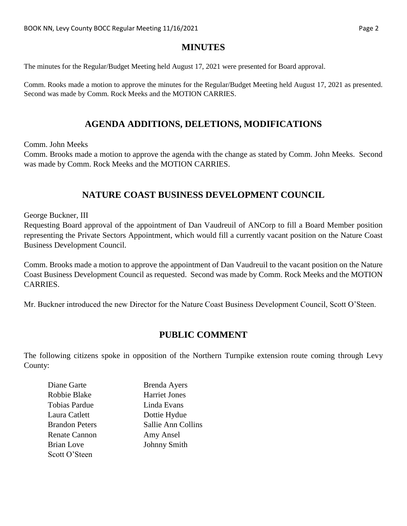### **MINUTES**

The minutes for the Regular/Budget Meeting held August 17, 2021 were presented for Board approval.

Comm. Rooks made a motion to approve the minutes for the Regular/Budget Meeting held August 17, 2021 as presented. Second was made by Comm. Rock Meeks and the MOTION CARRIES.

### **AGENDA ADDITIONS, DELETIONS, MODIFICATIONS**

Comm. John Meeks

Comm. Brooks made a motion to approve the agenda with the change as stated by Comm. John Meeks. Second was made by Comm. Rock Meeks and the MOTION CARRIES.

## **NATURE COAST BUSINESS DEVELOPMENT COUNCIL**

George Buckner, III

Requesting Board approval of the appointment of Dan Vaudreuil of ANCorp to fill a Board Member position representing the Private Sectors Appointment, which would fill a currently vacant position on the Nature Coast Business Development Council.

Comm. Brooks made a motion to approve the appointment of Dan Vaudreuil to the vacant position on the Nature Coast Business Development Council as requested. Second was made by Comm. Rock Meeks and the MOTION CARRIES.

Mr. Buckner introduced the new Director for the Nature Coast Business Development Council, Scott O'Steen.

#### **PUBLIC COMMENT**

The following citizens spoke in opposition of the Northern Turnpike extension route coming through Levy County:

| Diane Garte           | <b>Brenda Ayers</b>  |
|-----------------------|----------------------|
| Robbie Blake          | <b>Harriet Jones</b> |
| <b>Tobias Pardue</b>  | Linda Evans          |
| Laura Catlett         | Dottie Hydue         |
| <b>Brandon Peters</b> | Sallie Ann Collins   |
| <b>Renate Cannon</b>  | Amy Ansel            |
| <b>Brian Love</b>     | <b>Johnny Smith</b>  |
| Scott O'Steen         |                      |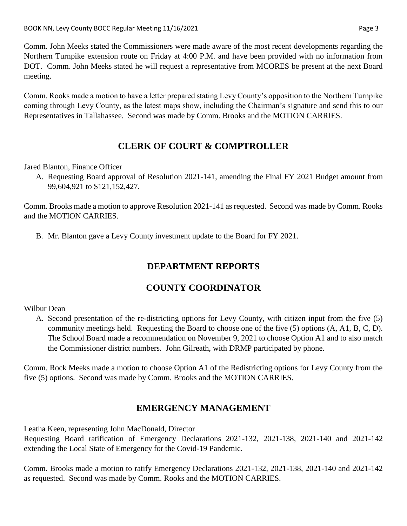Comm. John Meeks stated the Commissioners were made aware of the most recent developments regarding the Northern Turnpike extension route on Friday at 4:00 P.M. and have been provided with no information from DOT. Comm. John Meeks stated he will request a representative from MCORES be present at the next Board meeting.

Comm. Rooks made a motion to have a letter prepared stating Levy County's opposition to the Northern Turnpike coming through Levy County, as the latest maps show, including the Chairman's signature and send this to our Representatives in Tallahassee. Second was made by Comm. Brooks and the MOTION CARRIES.

# **CLERK OF COURT & COMPTROLLER**

Jared Blanton, Finance Officer

A. Requesting Board approval of Resolution 2021-141, amending the Final FY 2021 Budget amount from 99,604,921 to \$121,152,427.

Comm. Brooks made a motion to approve Resolution 2021-141 as requested. Second was made by Comm. Rooks and the MOTION CARRIES.

B. Mr. Blanton gave a Levy County investment update to the Board for FY 2021.

# **DEPARTMENT REPORTS**

# **COUNTY COORDINATOR**

#### Wilbur Dean

A. Second presentation of the re-districting options for Levy County, with citizen input from the five (5) community meetings held. Requesting the Board to choose one of the five (5) options (A, A1, B, C, D). The School Board made a recommendation on November 9, 2021 to choose Option A1 and to also match the Commissioner district numbers. John Gilreath, with DRMP participated by phone.

Comm. Rock Meeks made a motion to choose Option A1 of the Redistricting options for Levy County from the five (5) options. Second was made by Comm. Brooks and the MOTION CARRIES.

# **EMERGENCY MANAGEMENT**

Leatha Keen, representing John MacDonald, Director

Requesting Board ratification of Emergency Declarations 2021-132, 2021-138, 2021-140 and 2021-142 extending the Local State of Emergency for the Covid-19 Pandemic.

Comm. Brooks made a motion to ratify Emergency Declarations 2021-132, 2021-138, 2021-140 and 2021-142 as requested. Second was made by Comm. Rooks and the MOTION CARRIES.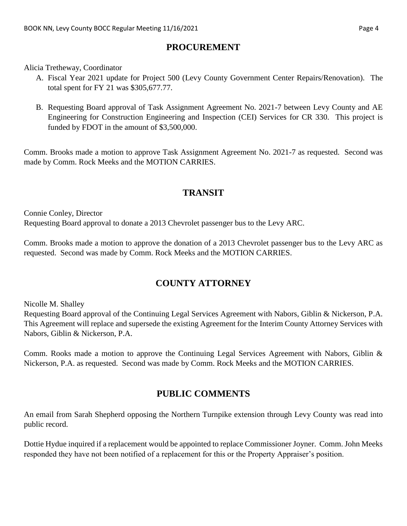### **PROCUREMENT**

Alicia Tretheway, Coordinator

- A. Fiscal Year 2021 update for Project 500 (Levy County Government Center Repairs/Renovation). The total spent for FY 21 was \$305,677.77.
- B. Requesting Board approval of Task Assignment Agreement No. 2021-7 between Levy County and AE Engineering for Construction Engineering and Inspection (CEI) Services for CR 330. This project is funded by FDOT in the amount of \$3,500,000.

Comm. Brooks made a motion to approve Task Assignment Agreement No. 2021-7 as requested. Second was made by Comm. Rock Meeks and the MOTION CARRIES.

## **TRANSIT**

Connie Conley, Director Requesting Board approval to donate a 2013 Chevrolet passenger bus to the Levy ARC.

Comm. Brooks made a motion to approve the donation of a 2013 Chevrolet passenger bus to the Levy ARC as requested. Second was made by Comm. Rock Meeks and the MOTION CARRIES.

# **COUNTY ATTORNEY**

Nicolle M. Shalley

Requesting Board approval of the Continuing Legal Services Agreement with Nabors, Giblin & Nickerson, P.A. This Agreement will replace and supersede the existing Agreement for the Interim County Attorney Services with Nabors, Giblin & Nickerson, P.A.

Comm. Rooks made a motion to approve the Continuing Legal Services Agreement with Nabors, Giblin & Nickerson, P.A. as requested. Second was made by Comm. Rock Meeks and the MOTION CARRIES.

# **PUBLIC COMMENTS**

An email from Sarah Shepherd opposing the Northern Turnpike extension through Levy County was read into public record.

Dottie Hydue inquired if a replacement would be appointed to replace Commissioner Joyner. Comm. John Meeks responded they have not been notified of a replacement for this or the Property Appraiser's position.